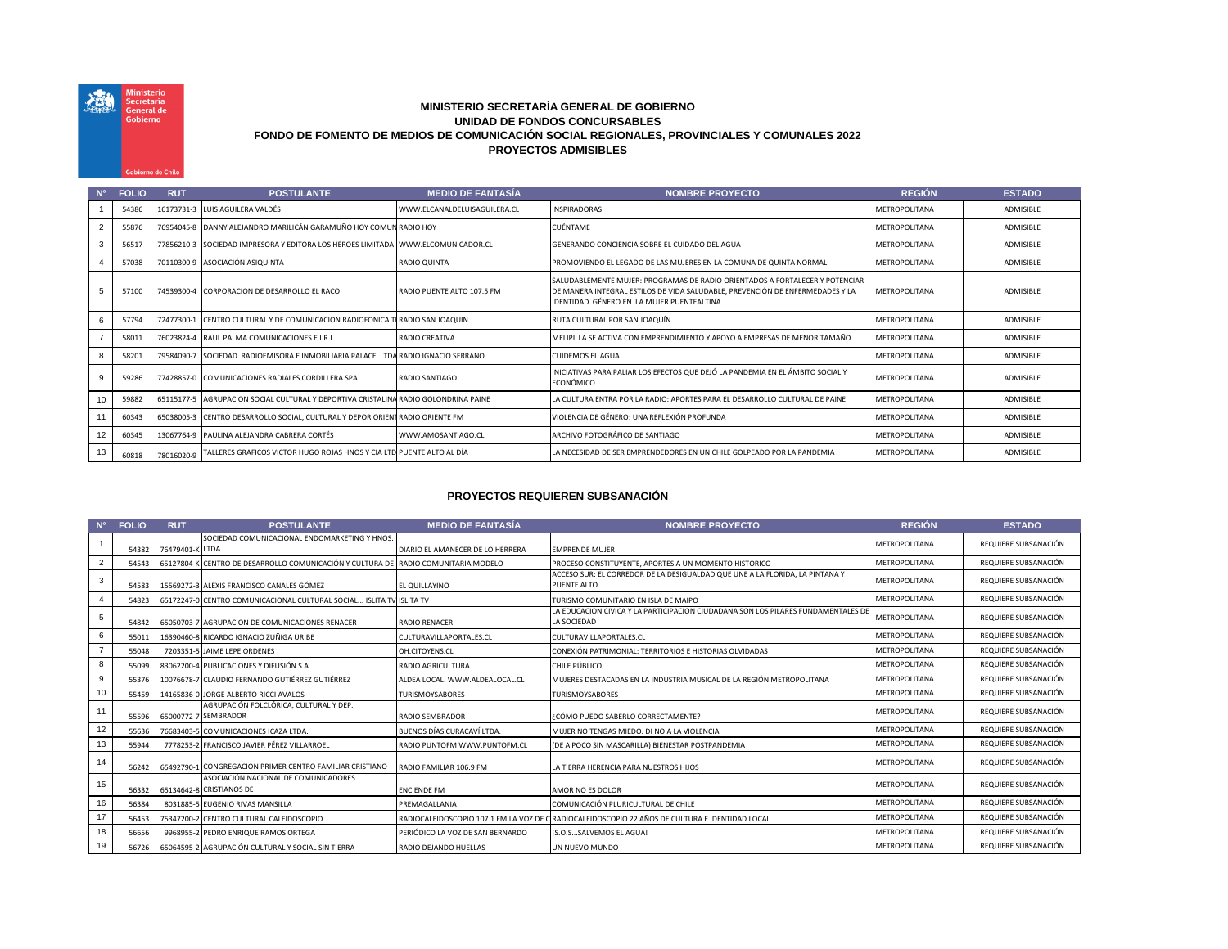## **MINISTERIO SECRETARÍA GENERAL DE GOBIERNO UNIDAD DE FONDOS CONCURSABLES FONDO DE FOMENTO DE MEDIOS DE COMUNICACIÓN SOCIAL REGIONALES, PROVINCIALES Y COMUNALES 2022 PROYECTOS ADMISIBLES**

機

Ministerio<br>Secretaría<br>General de Gobierno

bierno de Chi

| $N^{\circ}$    | <b>FOLIO</b> | <b>RUT</b> | <b>POSTULANTE</b>                                                                   | <b>MEDIO DE FANTASÍA</b>     | <b>NOMBRE PROYECTO</b>                                                                                                                                                                                             | <b>REGIÓN</b>        | <b>ESTADO</b>    |
|----------------|--------------|------------|-------------------------------------------------------------------------------------|------------------------------|--------------------------------------------------------------------------------------------------------------------------------------------------------------------------------------------------------------------|----------------------|------------------|
|                | 54386        |            | 16173731-3 LUIS AGUILERA VALDÉS                                                     | WWW.ELCANALDELUISAGUILERA.CL | <b>INSPIRADORAS</b>                                                                                                                                                                                                | <b>METROPOLITANA</b> | ADMISIBLE        |
| $\overline{2}$ | 55876        |            | 76954045-8 DANNY ALEJANDRO MARILICÁN GARAMUÑO HOY COMUN RADIO HOY                   |                              | <b>CUÉNTAME</b>                                                                                                                                                                                                    | <b>METROPOLITANA</b> | ADMISIBLE        |
| 3              | 56517        |            | 77856210-3 SOCIEDAD IMPRESORA Y EDITORA LOS HÉROES LIMITADA WWW.ELCOMUNICADOR.CL    |                              | GENERANDO CONCIENCIA SOBRE EL CUIDADO DEL AGUA                                                                                                                                                                     | <b>METROPOLITANA</b> | ADMISIBLE        |
|                | 57038        |            | 70110300-9 ASOCIACIÓN ASIQUINTA                                                     | <b>RADIO QUINTA</b>          | PROMOVIENDO EL LEGADO DE LAS MUJERES EN LA COMUNA DE QUINTA NORMAL.                                                                                                                                                | <b>METROPOLITANA</b> | ADMISIBLE        |
| 5              | 57100        |            | 74539300-4 CORPORACION DE DESARROLLO EL RACO                                        | RADIO PUFNTF ALTO 107.5 FM   | <b>ISALUDABLEMENTE MUJER: PROGRAMAS DE RADIO ORIENTADOS A FORTALECER Y POTENCIAR</b><br>DE MANERA INTEGRAL ESTILOS DE VIDA SALUDABLE, PREVENCIÓN DE ENFERMEDADES Y LA<br>IDENTIDAD GÉNERO EN LA MUJER PUENTEALTINA | <b>METROPOLITANA</b> | ADMISIBLE        |
| 6              | 57794        | 72477300-1 | CENTRO CULTURAL Y DE COMUNICACION RADIOFONICA TI RADIO SAN JOAQUIN                  |                              | RUTA CULTURAL POR SAN JOAQUÍN                                                                                                                                                                                      | <b>METROPOLITANA</b> | <b>ADMISIBLE</b> |
|                | 58011        |            | 76023824-4 RAUL PALMA COMUNICACIONES E.I.R.L.                                       | <b>RADIO CREATIVA</b>        | MELIPILLA SE ACTIVA CON EMPRENDIMIENTO Y APOYO A EMPRESAS DE MENOR TAMAÑO                                                                                                                                          | <b>METROPOLITANA</b> | ADMISIBLE        |
| 8              | 58201        |            | 79584090-7 SOCIEDAD RADIOEMISORA E INMOBILIARIA PALACE LTDA RADIO IGNACIO SERRANO   |                              | <b>CUIDEMOS EL AGUA!</b>                                                                                                                                                                                           | <b>METROPOLITANA</b> | ADMISIBLE        |
| 9              | 59286        |            | 77428857-0 COMUNICACIONES RADIALES CORDILLERA SPA                                   | RADIO SANTIAGO               | INICIATIVAS PARA PALIAR LOS EFECTOS QUE DEJÓ LA PANDEMIA EN EL ÁMBITO SOCIAL Y<br>ECONÓMICO                                                                                                                        | <b>METROPOLITANA</b> | ADMISIBLE        |
| 10             | 59882        |            | 65115177-5 AGRUPACION SOCIAL CULTURAL Y DEPORTIVA CRISTALINA RADIO GOLONDRINA PAINE |                              | LA CULTURA ENTRA POR LA RADIO: APORTES PARA EL DESARROLLO CULTURAL DE PAINE                                                                                                                                        | <b>METROPOLITANA</b> | ADMISIBLE        |
| 11             | 60343        |            | 65038005-3 CENTRO DESARROLLO SOCIAL, CULTURAL Y DEPOR ORIENTRADIO ORIENTE FM        |                              | VIOLENCIA DE GÉNERO: UNA REFLEXIÓN PROFUNDA                                                                                                                                                                        | <b>METROPOLITANA</b> | ADMISIBLE        |
| 12             | 60345        |            | 13067764-9 PAULINA ALEJANDRA CABRERA CORTÉS                                         | WWW.AMOSANTIAGO.CL           | ARCHIVO FOTOGRÁFICO DE SANTIAGO                                                                                                                                                                                    | <b>METROPOLITANA</b> | ADMISIBLE        |
| 13             | 60818        | 78016020-9 | TALLERES GRAFICOS VICTOR HUGO ROJAS HNOS Y CIA LTD PUENTE ALTO AL DÍA               |                              | LA NECESIDAD DE SER EMPRENDEDORES EN UN CHILE GOLPEADO POR LA PANDEMIA                                                                                                                                             | <b>METROPOLITANA</b> | ADMISIBLE        |

## **PROYECTOS REQUIEREN SUBSANACIÓN**

|                | <b>FOLIO</b> | <b>RUT</b>      | <b>POSTULANTE</b>                                                                  | <b>MEDIO DE FANTASÍA</b>         | <b>NOMBRE PROYECTO</b>                                                                           | <b>REGIÓN</b>        | <b>ESTADO</b>        |
|----------------|--------------|-----------------|------------------------------------------------------------------------------------|----------------------------------|--------------------------------------------------------------------------------------------------|----------------------|----------------------|
|                | 54382        | 76479401-K LTDA | SOCIEDAD COMUNICACIONAL ENDOMARKETING Y HNOS.                                      | DIARIO EL AMANECER DE LO HERRERA | <b>EMPRENDE MUJER</b>                                                                            | <b>METROPOLITANA</b> | REQUIERE SUBSANACIÓN |
| $\overline{2}$ | 54543        |                 | 65127804-K CENTRO DE DESARROLLO COMUNICACIÓN Y CULTURA DE RADIO COMUNITARIA MODELO |                                  | PROCESO CONSTITUYENTE, APORTES A UN MOMENTO HISTORICO                                            | METROPOLITANA        | REQUIERE SUBSANACIÓN |
| 3              | 54583        |                 | 15569272-3 ALEXIS FRANCISCO CANALES GÓMEZ                                          | EL QUILLAYINO                    | ACCESO SUR: EL CORREDOR DE LA DESIGUALDAD QUE UNE A LA FLORIDA, LA PINTANA Y<br>PUENTE ALTO.     | METROPOLITANA        | REQUIERE SUBSANACIÓN |
|                | 54823        |                 | 65172247-0 CENTRO COMUNICACIONAL CULTURAL SOCIAL ISLITA TV ISLITA TV               |                                  | TURISMO COMUNITARIO EN ISLA DE MAIPO                                                             | <b>METROPOLITANA</b> | REQUIERE SUBSANACIÓN |
|                | 54842        |                 | 65050703-7 AGRUPACION DE COMUNICACIONES RENACER                                    | <b>RADIO RENACER</b>             | LA EDUCACION CIVICA Y LA PARTICIPACION CIUDADANA SON LOS PILARES FUNDAMENTALES DE<br>LA SOCIEDAD | <b>METROPOLITANA</b> | REQUIERE SUBSANACIÓN |
|                | 5501         |                 | 16390460-8 RICARDO IGNACIO ZUÑIGA URIBE                                            | CULTURAVILLAPORTALES.CL          | CULTURAVILLAPORTALES.CL                                                                          | METROPOLITANA        | REQUIERE SUBSANACIÓN |
|                | 55048        |                 | 7203351-5 JAIME LEPE ORDENES                                                       | OH.CITOYENS.CL                   | CONEXIÓN PATRIMONIAL: TERRITORIOS E HISTORIAS OLVIDADAS                                          | METROPOLITANA        | REQUIERE SUBSANACIÓN |
|                | 55099        |                 | 83062200-4 PUBLICACIONES Y DIFUSIÓN S.A                                            | <b>RADIO AGRICULTURA</b>         | CHILE PÚBLICO                                                                                    | <b>METROPOLITANA</b> | REQUIERE SUBSANACIÓN |
|                | 55376        |                 | 10076678-7 CLAUDIO FERNANDO GUTIÉRREZ GUTIÉRREZ                                    | ALDEA LOCAL. WWW.ALDEALOCAL.CL   | MUJERES DESTACADAS EN LA INDUSTRIA MUSICAL DE LA REGIÓN METROPOLITANA                            | METROPOLITANA        | REQUIERE SUBSANACIÓN |
| 10             | 55459        |                 | 14165836-0 JORGE ALBERTO RICCI AVALOS                                              | <b>TURISMOYSABORES</b>           | <b>TURISMOYSABORES</b>                                                                           | <b>METROPOLITANA</b> | REQUIERE SUBSANACIÓN |
| 11             | 55596        |                 | AGRUPACIÓN FOLCLÓRICA, CULTURAL Y DEP.<br>65000772-7 SEMBRADOR                     | RADIO SEMBRADOR                  | CÓMO PUEDO SABERLO CORRECTAMENTE?                                                                | METROPOLITANA        | REQUIERE SUBSANACIÓN |
| 12             | 55636        |                 | 76683403-5 COMUNICACIONES ICAZA LTDA.                                              | BUENOS DÍAS CURACAVÍ LTDA.       | MUJER NO TENGAS MIEDO. DI NO A LA VIOLENCIA                                                      | METROPOLITANA        | REQUIERE SUBSANACIÓN |
| 13             | 55944        |                 | 7778253-2 FRANCISCO JAVIER PÉREZ VILLARROEL                                        | RADIO PUNTOFM WWW.PUNTOFM.CL     | (DE A POCO SIN MASCARILLA) BIENESTAR POSTPANDEMIA                                                | <b>METROPOLITANA</b> | REQUIERE SUBSANACIÓN |
| 14             | 56242        |                 | 65492790-1 CONGREGACION PRIMER CENTRO FAMILIAR CRISTIANO                           | RADIO FAMILIAR 106.9 FM          | LA TIERRA HERENCIA PARA NUESTROS HIJOS                                                           | <b>METROPOLITANA</b> | REQUIERE SUBSANACIÓN |
| 15             | 56332        |                 | ASOCIACIÓN NACIONAL DE COMUNICADORES<br>65134642-8 CRISTIANOS DE                   | <b>ENCIENDE FM</b>               | AMOR NO ES DOLOR                                                                                 | <b>METROPOLITANA</b> | REQUIERE SUBSANACIÓN |
| 16             | 56384        |                 | 8031885-5 EUGENIO RIVAS MANSILLA                                                   | PREMAGALLANIA                    | COMUNICACIÓN PLURICULTURAL DE CHILE                                                              | METROPOLITANA        | REQUIERE SUBSANACIÓN |
| 17             | 56453        |                 | 75347200-2 CENTRO CULTURAL CALEIDOSCOPIO                                           |                                  | RADIOCALEIDOSCOPIO 107.1 FM LA VOZ DE CIRADIOCALEIDOSCOPIO 22 AÑOS DE CULTURA E IDENTIDAD LOCAL  | <b>METROPOLITANA</b> | REQUIERE SUBSANACIÓN |
| 18             | 56656        |                 | 9968955-2 PEDRO ENRIQUE RAMOS ORTEGA                                               | PERIÓDICO LA VOZ DE SAN BERNARDO | ¡S.O.SSALVEMOS EL AGUA!                                                                          | METROPOLITANA        | REQUIERE SUBSANACIÓN |
| 19             | 56726        |                 | 65064595-2 AGRUPACIÓN CULTURAL Y SOCIAL SIN TIERRA                                 | RADIO DEJANDO HUELLAS            | UN NUEVO MUNDO                                                                                   | <b>METROPOLITANA</b> | REQUIERE SUBSANACIÓN |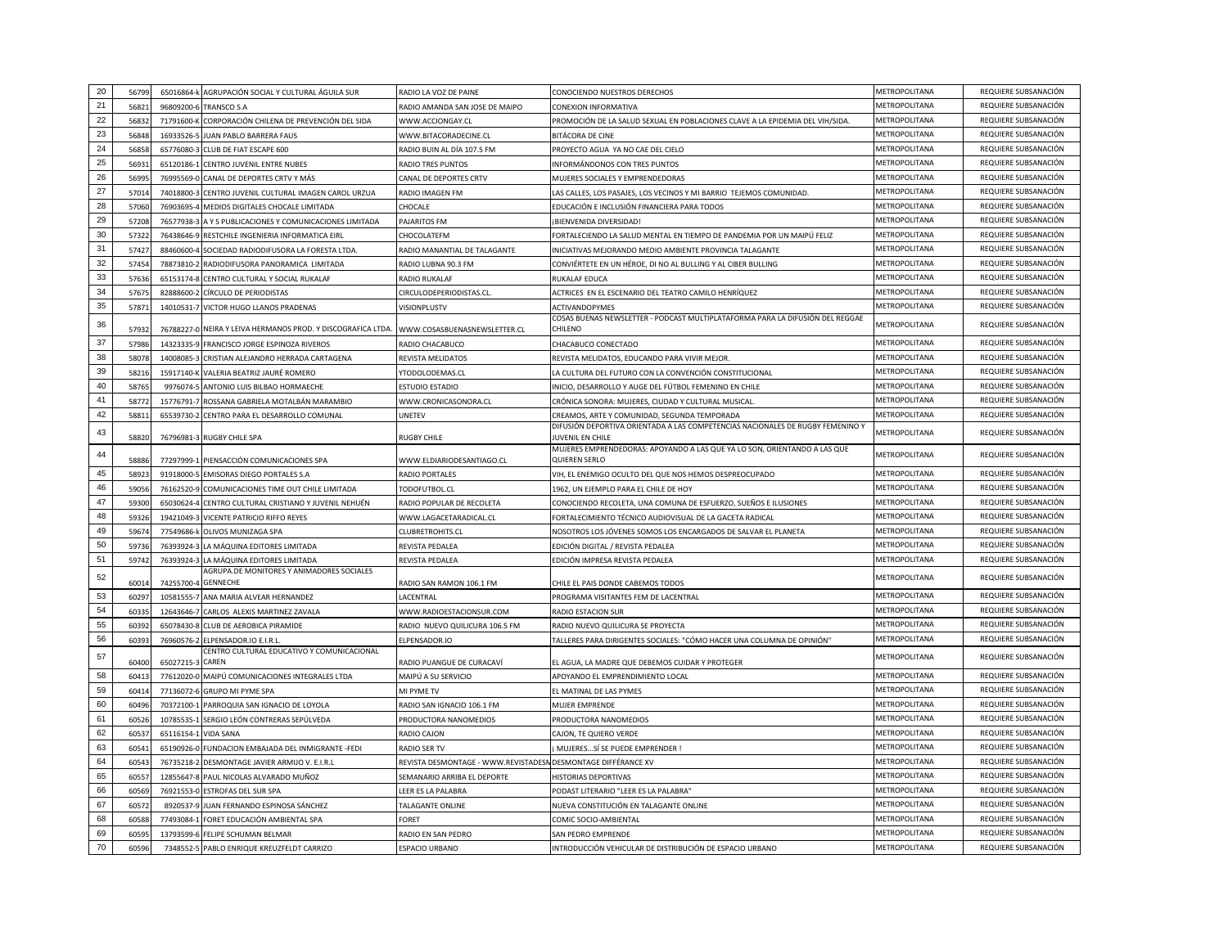| 20     | 5679  |                  | 65016864-k AGRUPACIÓN SOCIAL Y CULTURAL ÁGUILA SUR                        | RADIO LA VOZ DE PAINE                                         | CONOCIENDO NUESTROS DERECHOS                                                                       | METROPOLITANA        | REQUIERE SUBSANACIÓN |
|--------|-------|------------------|---------------------------------------------------------------------------|---------------------------------------------------------------|----------------------------------------------------------------------------------------------------|----------------------|----------------------|
| 21     | 56821 | 96809200-6       | <b>TRANSCO S.A</b>                                                        | RADIO AMANDA SAN JOSE DE MAIPO                                | CONEXION INFORMATIVA                                                                               | METROPOLITANA        | REQUIERE SUBSANACIÓN |
| 22     | 56832 | 71791600-K       | CORPORACIÓN CHILENA DE PREVENCIÓN DEL SIDA                                | WWW.ACCIONGAY.CL                                              | PROMOCIÓN DE LA SALUD SEXUAL EN POBLACIONES CLAVE A LA EPIDEMIA DEL VIH/SIDA.                      | METROPOLITANA        | REQUIERE SUBSANACIÓN |
| 23     | 56848 | 16933526-5       | JUAN PABLO BARRERA FAUS                                                   | WWW.BITACORADECINE.CL                                         | BITÁCORA DE CINE                                                                                   | METROPOLITANA        | REQUIERE SUBSANACIÓN |
| 24     | 5685  | 65776080-3       | CLUB DE FIAT ESCAPE 600                                                   | RADIO BUIN AL DÍA 107.5 FM                                    | PROYECTO AGUA YA NO CAE DEL CIELO                                                                  | <b>METROPOLITANA</b> | REQUIERE SUBSANACIÓN |
| 25     | 5693  | 65120186-1       | CENTRO JUVENIL ENTRE NUBES                                                | RADIO TRES PUNTOS                                             | INFORMÁNDONOS CON TRES PUNTOS                                                                      | METROPOLITANA        | REQUIERE SUBSANACIÓN |
| 26     | 5699  | 76995569-0       | CANAL DE DEPORTES CRTV Y MÁS                                              | CANAL DE DEPORTES CRTV                                        | MUJERES SOCIALES Y EMPRENDEDORAS                                                                   | METROPOLITANA        | REQUIERE SUBSANACIÓN |
| 27     | 57014 | 74018800-3       | CENTRO JUVENIL CULTURAL IMAGEN CAROL URZUA                                | RADIO IMAGEN FM                                               | LAS CALLES, LOS PASAJES, LOS VECINOS Y MI BARRIO TEJEMOS COMUNIDAD.                                | METROPOLITANA        | REQUIERE SUBSANACIÓN |
| 28     | 5706  |                  | 76903695-4 MEDIOS DIGITALES CHOCALE LIMITADA                              | <b>HOCALE</b>                                                 | EDUCACIÓN E INCLUSIÓN FINANCIERA PARA TODOS                                                        | METROPOLITANA        | REQUIERE SUBSANACIÓN |
| 29     | 5720  | 76577938-3       | A Y S PUBLICACIONES Y COMUNICACIONES LIMITADA                             | <b>PAJARITOS FM</b>                                           | ¡BIENVENIDA DIVERSIDAD!                                                                            | METROPOLITANA        | REQUIERE SUBSANACIÓN |
| $30\,$ | 5732  | 76438646-9       | RESTCHILE INGENIERIA INFORMATICA EIRL                                     | CHOCOLATEFM                                                   | FORTALECIENDO LA SALUD MENTAL EN TIEMPO DE PANDEMIA POR UN MAIPÚ FELIZ                             | METROPOLITANA        | REQUIERE SUBSANACIÓN |
| 31     | 57427 | 88460600-4       | SOCIEDAD RADIODIFUSORA LA FORESTA LTDA                                    | RADIO MANANTIAL DE TALAGANTE                                  | INICIATIVAS MEJORANDO MEDIO AMBIENTE PROVINCIA TALAGANTE                                           | METROPOLITANA        | REQUIERE SUBSANACIÓN |
| 32     | 57454 |                  | 78873810-2 RADIODIFUSORA PANORAMICA LIMITADA                              | RADIO LUBNA 90.3 FM                                           | CONVIÉRTETE EN UN HÉROE, DI NO AL BULLING Y AL CIBER BULLING                                       | METROPOLITANA        | REQUIERE SUBSANACIÓN |
| 33     | 5763  | 65153174-8       | CENTRO CULTURAL Y SOCIAL RUKALAF                                          | RADIO RUKALAF                                                 | RUKALAF EDUCA                                                                                      | METROPOLITANA        | REQUIERE SUBSANACIÓN |
| 34     | 5767  | 82888600-2       | CÍRCULO DE PERIODISTAS                                                    | CIRCULODEPERIODISTAS.CL                                       | ACTRICES EN EL ESCENARIO DEL TEATRO CAMILO HENRÍQUEZ                                               | METROPOLITANA        | REQUIERE SUBSANACIÓN |
| 35     | 5787  | 14010531-7       | VICTOR HUGO LLANOS PRADENAS                                               | <b>VISIONPLUSTV</b>                                           | <b>ACTIVANDOPYMES</b>                                                                              | METROPOLITANA        | REQUIERE SUBSANACIÓN |
| 36     | 57932 |                  | 76788227-0 NEIRA Y LEIVA HERMANOS PROD. Y DISCOGRAFICA LTDA.              | WWW.COSASBUENASNEWSLETTER.CL                                  | COSAS BUENAS NEWSLETTER - PODCAST MULTIPLATAFORMA PARA LA DIFUSIÓN DEL REGGAE<br>CHILFNO           | METROPOLITANA        | REQUIERE SUBSANACIÓN |
| 37     | 57986 |                  | 14323335-9 FRANCISCO JORGE ESPINOZA RIVEROS                               | RADIO CHACABUCO                                               | CHACABUCO CONECTADO                                                                                | METROPOLITANA        | REQUIERE SUBSANACIÓN |
| 38     | 58078 | 14008085-3       | CRISTIAN ALEJANDRO HERRADA CARTAGENA                                      | REVISTA MELIDATOS                                             | REVISTA MELIDATOS, EDUCANDO PARA VIVIR MEJOR                                                       | METROPOLITANA        | REQUIERE SUBSANACIÓN |
| 39     | 58216 | 15917140-K       | VALERIA BEATRIZ JAURÉ ROMERO                                              | TODOLODEMAS.CL                                                | LA CULTURA DEL FUTURO CON LA CONVENCIÓN CONSTITUCIONAL                                             | METROPOLITANA        | REQUIERE SUBSANACIÓN |
| 40     | 5876  | 9976074-5        | ANTONIO LUIS BILBAO HORMAECHE                                             | <b>STUDIO ESTADIO</b>                                         | INICIO, DESARROLLO Y AUGE DEL FÚTBOL FEMENINO EN CHILE                                             | METROPOLITANA        | REQUIERE SUBSANACIÓN |
| 41     | 5877  |                  | 15776791-7 ROSSANA GABRIELA MOTALBÁN MARAMBIO                             | WWW.CRONICASONORA.CL                                          | CRÓNICA SONORA: MUJERES, CIUDAD Y CULTURAL MUSICAL                                                 | METROPOLITANA        | REQUIERE SUBSANACIÓN |
| 42     | 5881  |                  | 65539730-2 CENTRO PARA EL DESARROLLO COMUNAL                              | JNETEV                                                        | CREAMOS, ARTE Y COMUNIDAD, SEGUNDA TEMPORADA                                                       | METROPOLITANA        | REQUIERE SUBSANACIÓN |
| 43     | 5882  |                  | 76796981-3 RUGBY CHILE SPA                                                | <b>RUGBY CHILE</b>                                            | DIFUSIÓN DEPORTIVA ORIENTADA A LAS COMPETENCIAS NACIONALES DE RUGBY FEMENINO Y<br>JUVENIL EN CHILE | METROPOLITANA        | REQUIERE SUBSANACIÓN |
| 44     | 5888  |                  | 77297999-1 PIENSACCIÓN COMUNICACIONES SPA                                 | WWW.ELDIARIODESANTIAGO.CL                                     | MUJERES EMPRENDEDORAS: APOYANDO A LAS QUE YA LO SON, ORIENTANDO A LAS QUE<br>QUIEREN SERLO         | METROPOLITANA        | REQUIERE SUBSANACIÓN |
| 45     | 5892  | 91918000-5       | <b>EMISORAS DIEGO PORTALES S.A</b>                                        | RADIO PORTALES                                                | VIH, EL ENEMIGO OCULTO DEL QUE NOS HEMOS DESPREOCUPADO                                             | METROPOLITANA        | REQUIERE SUBSANACIÓN |
| 46     | 59056 |                  | 76162520-9 COMUNICACIONES TIME OUT CHILE LIMITADA                         | todofutbol.cl                                                 | 1962, UN EJEMPLO PARA EL CHILE DE HOY                                                              | METROPOLITANA        | REQUIERE SUBSANACIÓN |
| 47     | 59300 | 65030624-4       | CENTRO CULTURAL CRISTIANO Y JUVENIL NEHUÉN                                | RADIO POPULAR DE RECOLETA                                     | CONOCIENDO RECOLETA, UNA COMUNA DE ESFUERZO, SUEÑOS E ILUSIONES                                    | METROPOLITANA        | REQUIERE SUBSANACIÓN |
| 48     | 59326 |                  | 19421049-3 VICENTE PATRICIO RIFFO REYES                                   | WWW.LAGACETARADICAL.CL                                        | FORTALECIMIENTO TÉCNICO AUDIOVISUAL DE LA GACETA RADICAL                                           | METROPOLITANA        | REQUIERE SUBSANACIÓN |
| 49     | 5967  | 77549686-k       | OLIVOS MUNIZAGA SPA                                                       | <b>LUBRETROHITS.CL</b>                                        | NOSOTROS LOS JÓVENES SOMOS LOS ENCARGADOS DE SALVAR EL PLANETA                                     | <b>METROPOLITANA</b> | REQUIERE SUBSANACIÓN |
| 50     | 59736 | 76393924-3       | LA MÁQUINA EDITORES LIMITADA                                              | REVISTA PEDALEA                                               | EDICIÓN DIGITAL / REVISTA PEDALEA                                                                  | METROPOLITANA        | REQUIERE SUBSANACIÓN |
| 51     | 5974  | 76393924-3       | LA MÁQUINA FDITORES LIMITADA<br>AGRUPA.DE MONITORES Y ANIMADORES SOCIALES | REVISTA PEDALEA                                               | EDICIÓN IMPRESA REVISTA PEDALEA                                                                    | METROPOLITANA        | REQUIERE SUBSANACIÓN |
| 52     | 6001  | 74255700-4       | <b>GENNECHE</b>                                                           | RADIO SAN RAMON 106.1 FM                                      | CHILE EL PAIS DONDE CABEMOS TODOS                                                                  | METROPOLITANA        | REQUIERE SUBSANACIÓN |
| 53     | 6029  |                  | 10581555-7 ANA MARIA ALVEAR HERNANDEZ                                     | ACENTRAL                                                      | PROGRAMA VISITANTES FEM DE LACENTRAL                                                               | METROPOLITANA        | REQUIERE SUBSANACIÓN |
| 54     | 6033  | 12643646-7       | CARLOS ALEXIS MARTINEZ ZAVALA                                             | WWW.RADIOESTACIONSUR.COM                                      | <b>RADIO ESTACION SUR</b>                                                                          | METROPOLITANA        | REQUIERE SUBSANACIÓN |
| 55     | 60392 |                  | 65078430-8 CLUB DE AEROBICA PIRAMIDE                                      | RADIO NUEVO QUILICURA 106.5 FM                                | RADIO NUEVO QUILICURA SE PROYECTA                                                                  | METROPOLITANA        | REQUIERE SUBSANACIÓN |
| 56     | 60393 | 76960576-2       | ELPENSADOR.IO E.I.R.L<br>CENTRO CULTURAL EDUCATIVO Y COMUNICACIONAL       | ELPENSADOR.IO                                                 | TALLERES PARA DIRIGENTES SOCIALES: "CÓMO HACER UNA COLUMNA DE OPINIÓN"                             | METROPOLITANA        | REQUIERE SUBSANACIÓN |
| 57     | 60400 | 65027215-3 CAREN |                                                                           | ADIO PUANGUE DE CURACAVÍ                                      | EL AGUA, LA MADRE QUE DEBEMOS CUIDAR Y PROTEGER                                                    | METROPOLITANA        | REQUIERE SUBSANACIÓN |
| 58     | 6041  |                  | 77612020-0 MAIPÚ COMUNICACIONES INTEGRALES LTDA                           | MAIPÚ A SU SERVICIO                                           | APOYANDO EL EMPRENDIMIENTO LOCAL                                                                   | METROPOLITANA        | REQUIERE SUBSANACIÓN |
| 59     | 6041  | 77136072-6       | <b>GRUPO MI PYME SPA</b>                                                  | <b>MI PYME TV</b>                                             | EL MATINAL DE LAS PYMES                                                                            | METROPOLITANA        | REQUIERE SUBSANACIÓN |
| 60     | 6049  |                  | 70372100-1 PARROQUIA SAN IGNACIO DE LOYOLA                                | RADIO SAN IGNACIO 106.1 FM                                    | MUJER EMPRENDE                                                                                     | METROPOLITANA        | REQUIERE SUBSANACIÓN |
| 61     | 60526 |                  | 10785535-1 SERGIO LEÓN CONTRERAS SEPÚLVEDA                                | PRODUCTORA NANOMEDIOS                                         | PRODUCTORA NANOMEDIOS                                                                              | METROPOLITANA        | REQUIERE SUBSANACIÓN |
| 62     | 6053  | 65116154-1       | <b>VIDA SANA</b>                                                          | <b>ADIO CAJON</b>                                             | CAJON, TE QUIERO VERDE                                                                             | METROPOLITANA        | REQUIERE SUBSANACIÓN |
| 63     | 6054  |                  | 65190926-0 FUNDACION EMBAJADA DEL INMIGRANTE -FEDI                        | RADIO SER TV                                                  | MUJERESSÍ SE PUEDE EMPRENDER !                                                                     | METROPOLITANA        | REQUIERE SUBSANACIÓN |
| 64     | 6054  | 76735218-2       | DESMONTAGE JAVIER ARMIJO V. E.I.R.L                                       | REVISTA DESMONTAGE - WWW.REVISTADESN DESMONTAGE DIFFÉRANCE XV |                                                                                                    | METROPOLITANA        | REQUIERE SUBSANACIÓN |
| 65     | 6055  |                  | 12855647-8 PAUL NICOLAS ALVARADO MUÑOZ                                    | SEMANARIO ARRIBA EL DEPORTE                                   | <b>HISTORIAS DEPORTIVAS</b>                                                                        | METROPOLITANA        | REQUIERE SUBSANACIÓN |
| 66     | 60569 |                  | 76921553-0 ESTROFAS DEL SUR SPA                                           | EER ES LA PALABRA                                             | PODAST LITERARIO "LEER ES LA PALABRA'                                                              | METROPOLITANA        | REQUIERE SUBSANACIÓN |
| 67     | 6057  |                  | 8920537-9 JUAN FERNANDO ESPINOSA SÁNCHEZ                                  | <b><i>FALAGANTE ONLINE</i></b>                                | NUEVA CONSTITUCIÓN EN TALAGANTE ONLINE                                                             | METROPOLITANA        | REQUIERE SUBSANACIÓN |
| 68     | 6058  | 77493084-1       | FORET EDUCACIÓN AMBIENTAL SPA                                             | ORET                                                          | COMIC SOCIO-AMBIENTAL                                                                              | METROPOLITANA        | REQUIERE SUBSANACIÓN |
| 69     | 6059  |                  | 13793599-6 FELIPE SCHUMAN BELMAR                                          | RADIO EN SAN PEDRO                                            | SAN PEDRO EMPRENDE                                                                                 | METROPOLITANA        | REQUIERE SUBSANACIÓN |
| 70     | 60596 |                  | 7348552-5 PABLO ENRIQUE KREUZFELDT CARRIZO                                | ESPACIO URBANO                                                | INTRODUCCIÓN VEHICULAR DE DISTRIBUCIÓN DE ESPACIO URBANO                                           | METROPOLITANA        | REQUIERE SUBSANACIÓN |